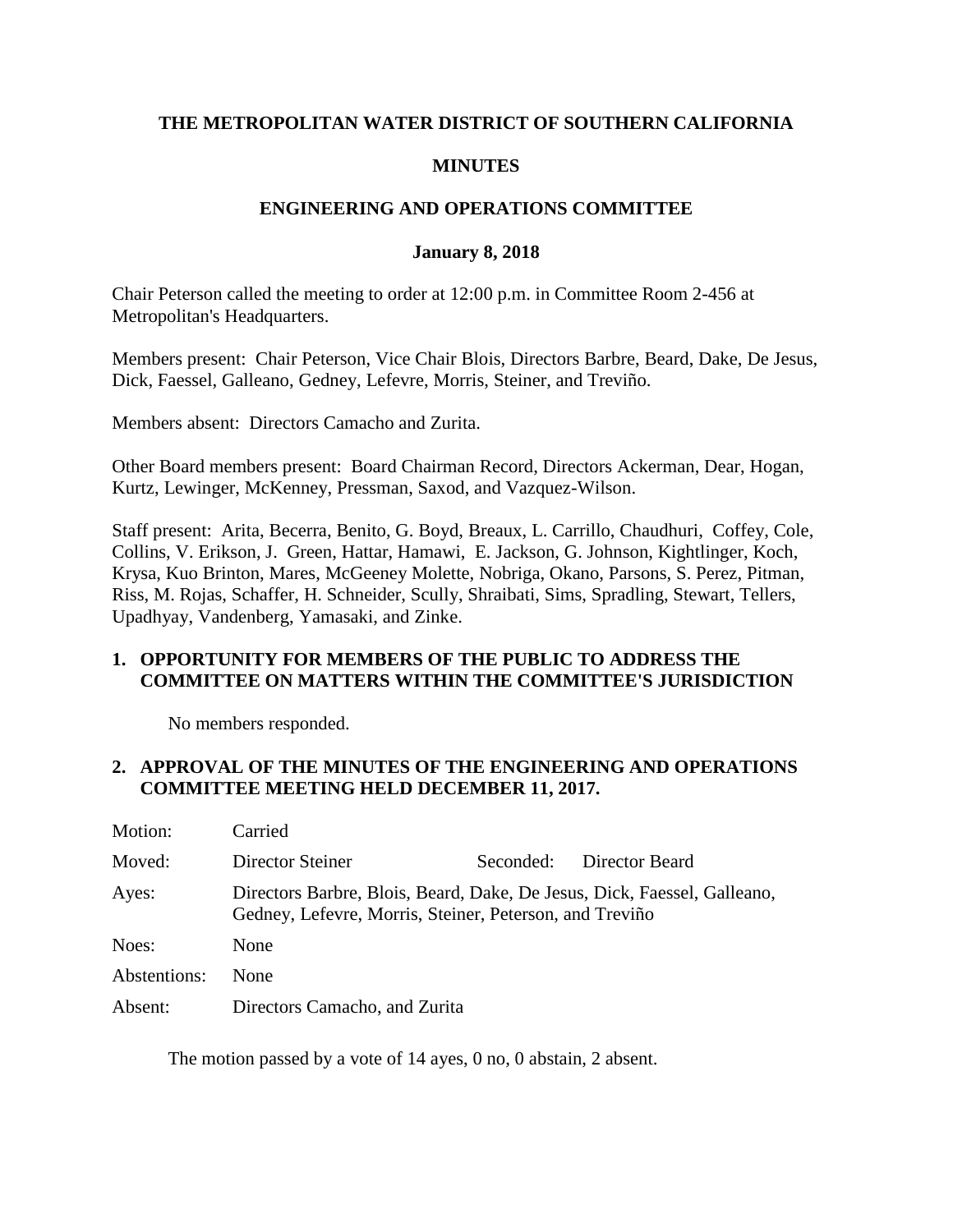### **THE METROPOLITAN WATER DISTRICT OF SOUTHERN CALIFORNIA**

### **MINUTES**

### **ENGINEERING AND OPERATIONS COMMITTEE**

#### **January 8, 2018**

Chair Peterson called the meeting to order at 12:00 p.m. in Committee Room 2-456 at Metropolitan's Headquarters.

Members present: Chair Peterson, Vice Chair Blois, Directors Barbre, Beard, Dake, De Jesus, Dick, Faessel, Galleano, Gedney, Lefevre, Morris, Steiner, and Treviño.

Members absent: Directors Camacho and Zurita.

Other Board members present: Board Chairman Record, Directors Ackerman, Dear, Hogan, Kurtz, Lewinger, McKenney, Pressman, Saxod, and Vazquez-Wilson.

Staff present: Arita, Becerra, Benito, G. Boyd, Breaux, L. Carrillo, Chaudhuri, Coffey, Cole, Collins, V. Erikson, J. Green, Hattar, Hamawi, E. Jackson, G. Johnson, Kightlinger, Koch, Krysa, Kuo Brinton, Mares, McGeeney Molette, Nobriga, Okano, Parsons, S. Perez, Pitman, Riss, M. Rojas, Schaffer, H. Schneider, Scully, Shraibati, Sims, Spradling, Stewart, Tellers, Upadhyay, Vandenberg, Yamasaki, and Zinke.

### **1. OPPORTUNITY FOR MEMBERS OF THE PUBLIC TO ADDRESS THE COMMITTEE ON MATTERS WITHIN THE COMMITTEE'S JURISDICTION**

No members responded.

### **2. APPROVAL OF THE MINUTES OF THE ENGINEERING AND OPERATIONS COMMITTEE MEETING HELD DECEMBER 11, 2017.**

| Motion:      | Carried                                                                                                                             |           |                |
|--------------|-------------------------------------------------------------------------------------------------------------------------------------|-----------|----------------|
| Moved:       | Director Steiner                                                                                                                    | Seconded: | Director Beard |
| Ayes:        | Directors Barbre, Blois, Beard, Dake, De Jesus, Dick, Faessel, Galleano,<br>Gedney, Lefevre, Morris, Steiner, Peterson, and Treviño |           |                |
| Noes:        | None                                                                                                                                |           |                |
| Abstentions: | <b>None</b>                                                                                                                         |           |                |
| Absent:      | Directors Camacho, and Zurita                                                                                                       |           |                |

The motion passed by a vote of 14 ayes, 0 no, 0 abstain, 2 absent.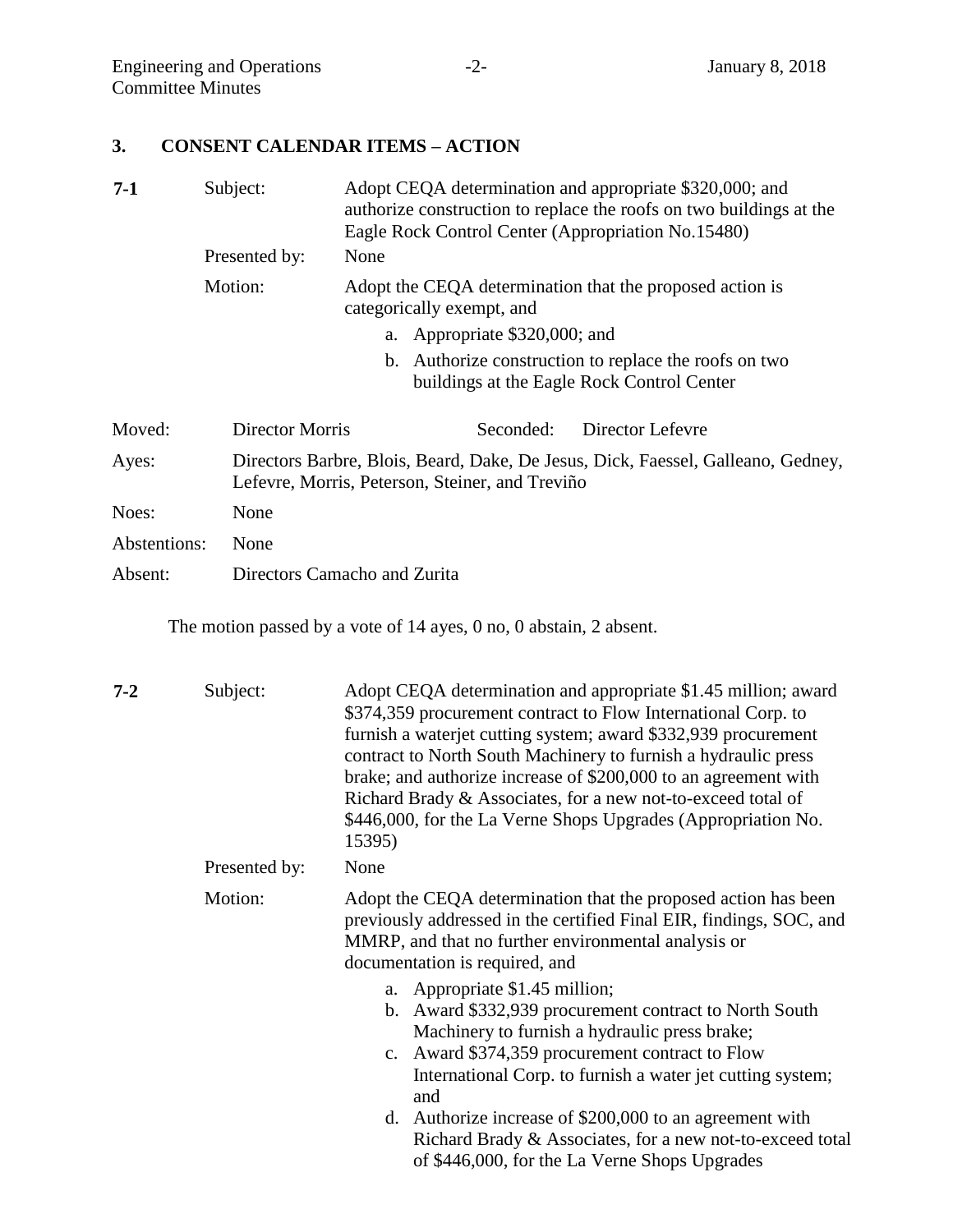# **3. CONSENT CALENDAR ITEMS – ACTION**

| Subject:             | Adopt CEQA determination and appropriate \$320,000; and<br>authorize construction to replace the roofs on two buildings at the<br>Eagle Rock Control Center (Appropriation No.15480)<br>None |  |  |  |
|----------------------|----------------------------------------------------------------------------------------------------------------------------------------------------------------------------------------------|--|--|--|
| Motion:              | Adopt the CEQA determination that the proposed action is<br>categorically exempt, and                                                                                                        |  |  |  |
|                      | a. Appropriate \$320,000; and                                                                                                                                                                |  |  |  |
|                      | b. Authorize construction to replace the roofs on two<br>buildings at the Eagle Rock Control Center                                                                                          |  |  |  |
|                      | Director Lefevre<br>Seconded:                                                                                                                                                                |  |  |  |
|                      | Directors Barbre, Blois, Beard, Dake, De Jesus, Dick, Faessel, Galleano, Gedney,<br>Lefevre, Morris, Peterson, Steiner, and Treviño                                                          |  |  |  |
| None                 |                                                                                                                                                                                              |  |  |  |
| Abstentions:<br>None |                                                                                                                                                                                              |  |  |  |
|                      | Directors Camacho and Zurita                                                                                                                                                                 |  |  |  |
|                      | Presented by:<br>Director Morris                                                                                                                                                             |  |  |  |

The motion passed by a vote of 14 ayes, 0 no, 0 abstain, 2 absent.

| $7 - 2$ | Subject:      | Adopt CEQA determination and appropriate \$1.45 million; award<br>\$374,359 procurement contract to Flow International Corp. to<br>furnish a waterjet cutting system; award \$332,939 procurement<br>contract to North South Machinery to furnish a hydraulic press<br>brake; and authorize increase of \$200,000 to an agreement with<br>Richard Brady & Associates, for a new not-to-exceed total of<br>\$446,000, for the La Verne Shops Upgrades (Appropriation No.<br>15395) |
|---------|---------------|-----------------------------------------------------------------------------------------------------------------------------------------------------------------------------------------------------------------------------------------------------------------------------------------------------------------------------------------------------------------------------------------------------------------------------------------------------------------------------------|
|         | Presented by: | None                                                                                                                                                                                                                                                                                                                                                                                                                                                                              |
|         | Motion:       | Adopt the CEQA determination that the proposed action has been<br>previously addressed in the certified Final EIR, findings, SOC, and<br>MMRP, and that no further environmental analysis or<br>documentation is required, and                                                                                                                                                                                                                                                    |
|         |               | a. Appropriate \$1.45 million;<br>b. Award \$332,939 procurement contract to North South<br>Machinery to furnish a hydraulic press brake;<br>c. Award \$374,359 procurement contract to Flow<br>International Corp. to furnish a water jet cutting system;<br>and<br>Authorize increase of \$200,000 to an agreement with<br>d.<br>Richard Brady & Associates, for a new not-to-exceed total<br>of \$446,000, for the La Verne Shops Upgrades                                     |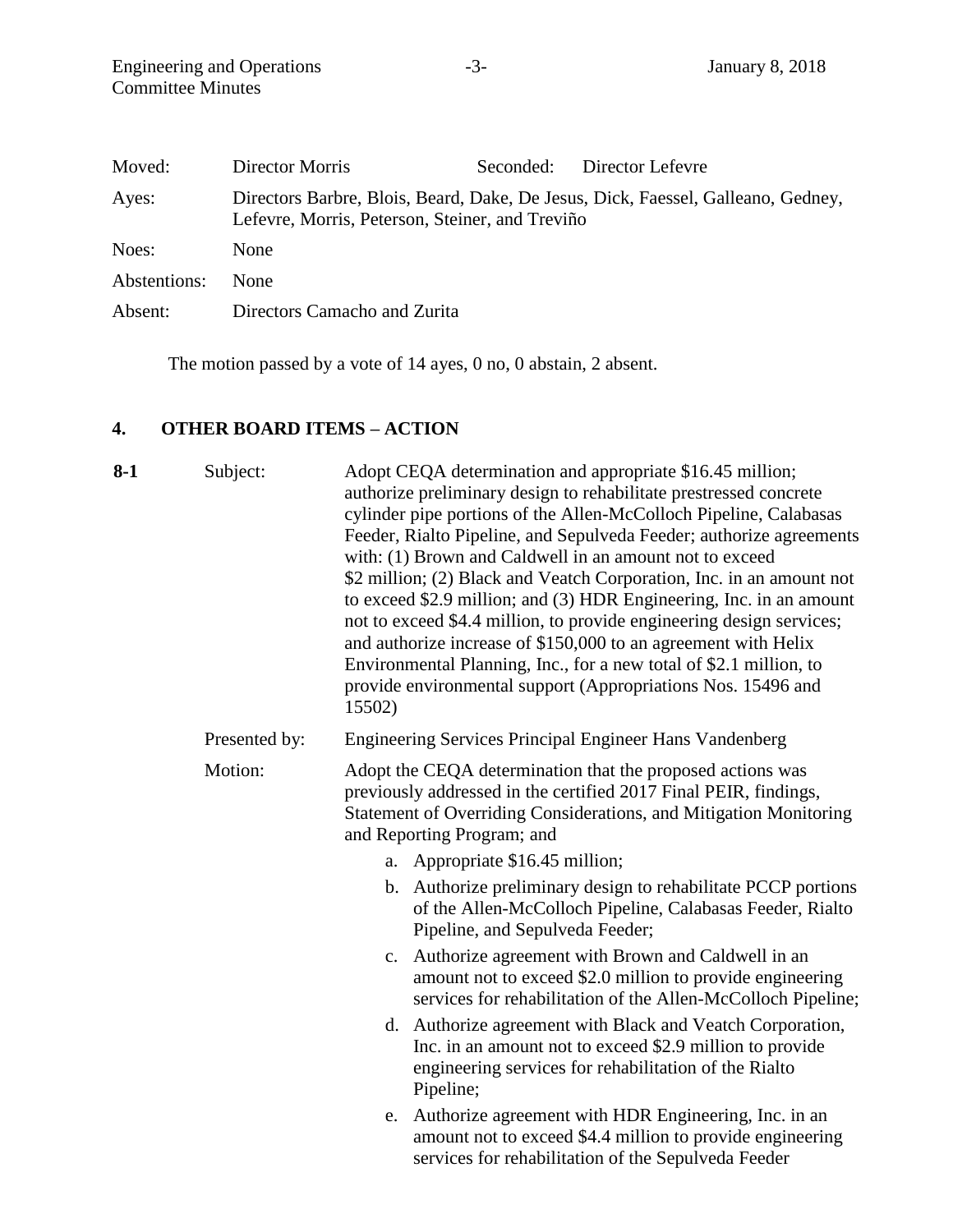| Moved:       | Director Morris                                 | Seconded: | Director Lefevre                                                                 |
|--------------|-------------------------------------------------|-----------|----------------------------------------------------------------------------------|
| Ayes:        | Lefevre, Morris, Peterson, Steiner, and Treviño |           | Directors Barbre, Blois, Beard, Dake, De Jesus, Dick, Faessel, Galleano, Gedney, |
| Noes:        | None                                            |           |                                                                                  |
| Abstentions: | <b>None</b>                                     |           |                                                                                  |
| Absent:      | Directors Camacho and Zurita                    |           |                                                                                  |

The motion passed by a vote of 14 ayes, 0 no, 0 abstain, 2 absent.

# **4. OTHER BOARD ITEMS – ACTION**

| 8-1 | Subject:      | Adopt CEQA determination and appropriate \$16.45 million;<br>authorize preliminary design to rehabilitate prestressed concrete<br>cylinder pipe portions of the Allen-McColloch Pipeline, Calabasas<br>Feeder, Rialto Pipeline, and Sepulveda Feeder; authorize agreements<br>with: (1) Brown and Caldwell in an amount not to exceed<br>\$2 million; (2) Black and Veatch Corporation, Inc. in an amount not<br>to exceed \$2.9 million; and (3) HDR Engineering, Inc. in an amount<br>not to exceed \$4.4 million, to provide engineering design services;<br>and authorize increase of \$150,000 to an agreement with Helix<br>Environmental Planning, Inc., for a new total of \$2.1 million, to<br>provide environmental support (Appropriations Nos. 15496 and<br>15502) |
|-----|---------------|--------------------------------------------------------------------------------------------------------------------------------------------------------------------------------------------------------------------------------------------------------------------------------------------------------------------------------------------------------------------------------------------------------------------------------------------------------------------------------------------------------------------------------------------------------------------------------------------------------------------------------------------------------------------------------------------------------------------------------------------------------------------------------|
|     | Presented by: | Engineering Services Principal Engineer Hans Vandenberg                                                                                                                                                                                                                                                                                                                                                                                                                                                                                                                                                                                                                                                                                                                        |
|     | Motion:       | Adopt the CEQA determination that the proposed actions was<br>previously addressed in the certified 2017 Final PEIR, findings,<br>Statement of Overriding Considerations, and Mitigation Monitoring<br>and Reporting Program; and                                                                                                                                                                                                                                                                                                                                                                                                                                                                                                                                              |
|     |               | a. Appropriate \$16.45 million;                                                                                                                                                                                                                                                                                                                                                                                                                                                                                                                                                                                                                                                                                                                                                |
|     |               | b. Authorize preliminary design to rehabilitate PCCP portions<br>of the Allen-McColloch Pipeline, Calabasas Feeder, Rialto<br>Pipeline, and Sepulveda Feeder;                                                                                                                                                                                                                                                                                                                                                                                                                                                                                                                                                                                                                  |
|     |               | c. Authorize agreement with Brown and Caldwell in an<br>amount not to exceed \$2.0 million to provide engineering<br>services for rehabilitation of the Allen-McColloch Pipeline;                                                                                                                                                                                                                                                                                                                                                                                                                                                                                                                                                                                              |
|     |               | d. Authorize agreement with Black and Veatch Corporation,<br>Inc. in an amount not to exceed \$2.9 million to provide<br>engineering services for rehabilitation of the Rialto<br>Pipeline;                                                                                                                                                                                                                                                                                                                                                                                                                                                                                                                                                                                    |
|     |               | Authorize agreement with HDR Engineering, Inc. in an<br>e.<br>amount not to exceed \$4.4 million to provide engineering<br>services for rehabilitation of the Sepulveda Feeder                                                                                                                                                                                                                                                                                                                                                                                                                                                                                                                                                                                                 |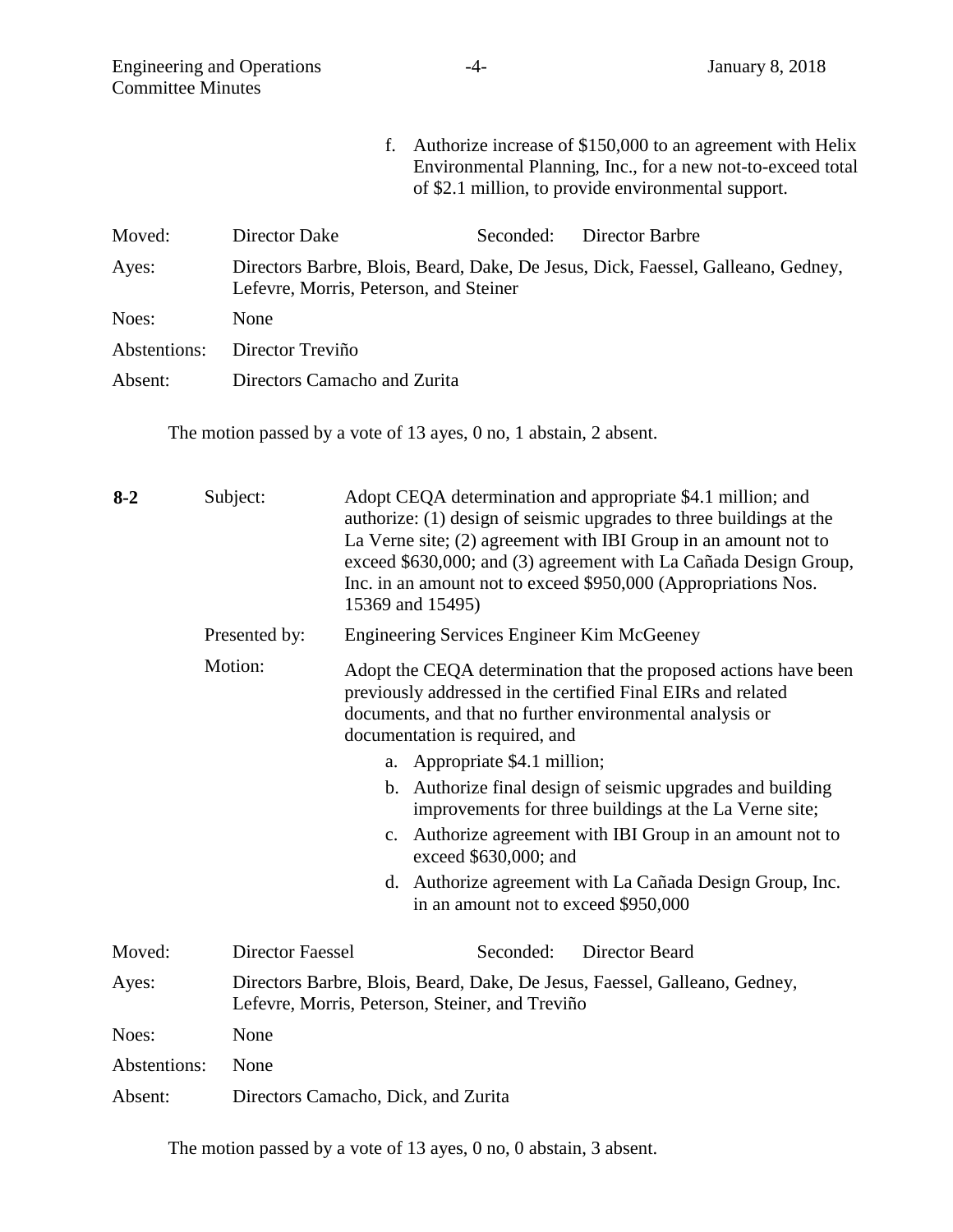| <b>Engineering and Operations</b><br><b>Committee Minutes</b> |                  | -4-                                                                | January 8, 2018                                                                                                                                                                  |
|---------------------------------------------------------------|------------------|--------------------------------------------------------------------|----------------------------------------------------------------------------------------------------------------------------------------------------------------------------------|
|                                                               |                  | f.                                                                 | Authorize increase of \$150,000 to an agreement with Helix<br>Environmental Planning, Inc., for a new not-to-exceed total<br>of \$2.1 million, to provide environmental support. |
| Moved:                                                        | Director Dake    | Seconded:                                                          | Director Barbre                                                                                                                                                                  |
| Ayes:                                                         |                  | Lefevre, Morris, Peterson, and Steiner                             | Directors Barbre, Blois, Beard, Dake, De Jesus, Dick, Faessel, Galleano, Gedney,                                                                                                 |
| Noes:                                                         | None             |                                                                    |                                                                                                                                                                                  |
| Abstentions:                                                  | Director Treviño |                                                                    |                                                                                                                                                                                  |
| Absent:                                                       |                  | Directors Camacho and Zurita                                       |                                                                                                                                                                                  |
|                                                               |                  | The motion passed by a vote of 13 ayes, 0 no, 1 abstain, 2 absent. |                                                                                                                                                                                  |
| $8-2$                                                         | Subject:         |                                                                    | Adopt CEQA determination and appropriate \$4.1 million; and<br>authorize: (1) design of seismic upgrades to three buildings at the                                               |

|              |                  | La Verne site; $(2)$ agreement with IBI Group in an amount not to<br>exceed \$630,000; and (3) agreement with La Cañada Design Group,<br>Inc. in an amount not to exceed \$950,000 (Appropriations Nos.<br>15369 and 15495)    |
|--------------|------------------|--------------------------------------------------------------------------------------------------------------------------------------------------------------------------------------------------------------------------------|
|              | Presented by:    | <b>Engineering Services Engineer Kim McGeeney</b>                                                                                                                                                                              |
|              | Motion:          | Adopt the CEQA determination that the proposed actions have been<br>previously addressed in the certified Final EIRs and related<br>documents, and that no further environmental analysis or<br>documentation is required, and |
|              |                  | a. Appropriate \$4.1 million;                                                                                                                                                                                                  |
|              |                  | b. Authorize final design of seismic upgrades and building<br>improvements for three buildings at the La Verne site;                                                                                                           |
|              |                  | Authorize agreement with IBI Group in an amount not to<br>$\mathbf{c}$ .<br>exceed \$630,000; and                                                                                                                              |
|              |                  | d. Authorize agreement with La Cañada Design Group, Inc.<br>in an amount not to exceed \$950,000                                                                                                                               |
| Moved:       | Director Faessel | Seconded:<br>Director Beard                                                                                                                                                                                                    |
| Ayes:        |                  | Directors Barbre, Blois, Beard, Dake, De Jesus, Faessel, Galleano, Gedney,<br>Lefevre, Morris, Peterson, Steiner, and Treviño                                                                                                  |
| Noes:        | None             |                                                                                                                                                                                                                                |
| Abstentions: | None             |                                                                                                                                                                                                                                |
| Absent:      |                  | Directors Camacho, Dick, and Zurita                                                                                                                                                                                            |

The motion passed by a vote of 13 ayes, 0 no, 0 abstain, 3 absent.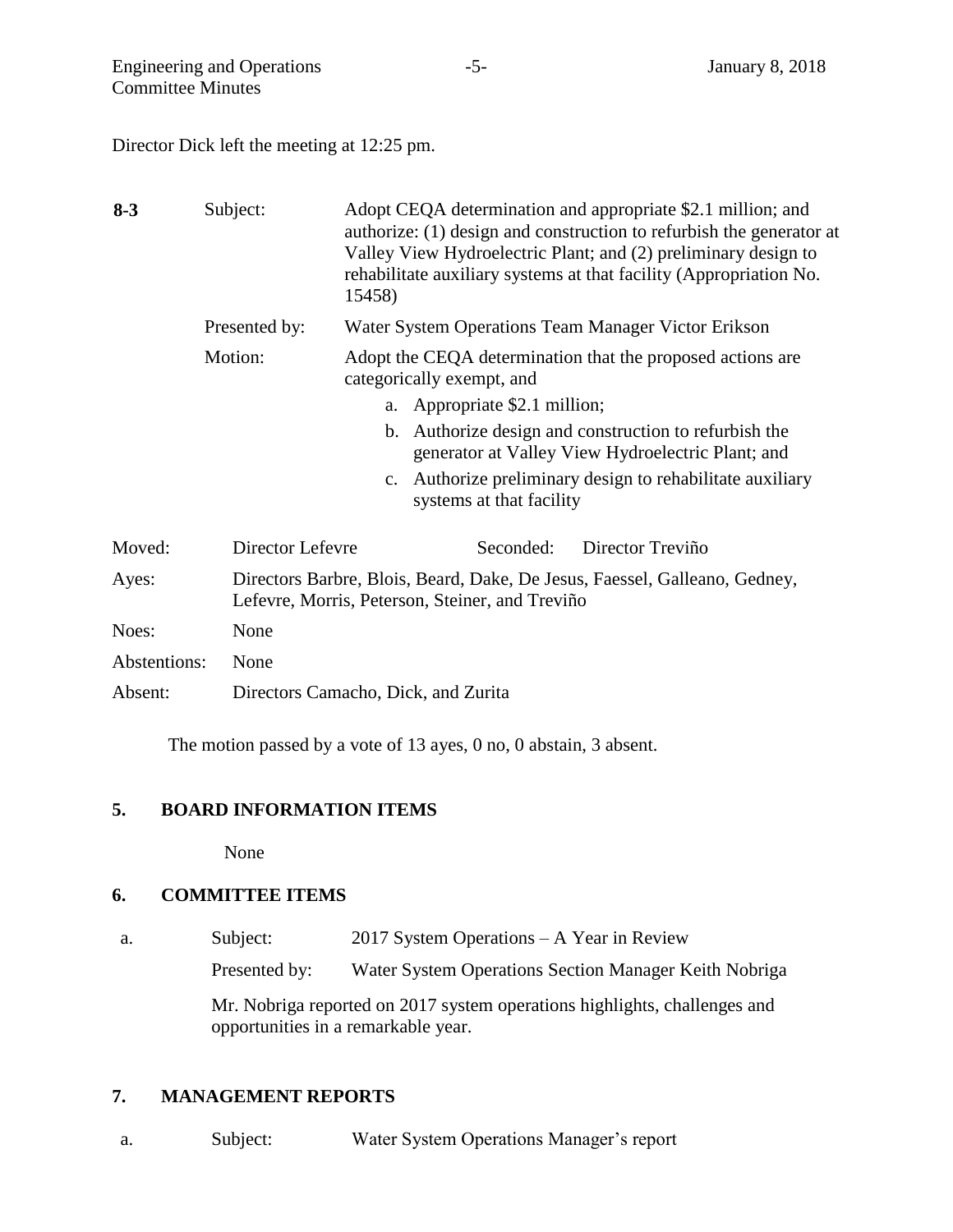Director Dick left the meeting at 12:25 pm.

| $8 - 3$      | Subject:         | Adopt CEQA determination and appropriate \$2.1 million; and<br>authorize: (1) design and construction to refurbish the generator at<br>Valley View Hydroelectric Plant; and (2) preliminary design to<br>rehabilitate auxiliary systems at that facility (Appropriation No.<br>15458) |  |
|--------------|------------------|---------------------------------------------------------------------------------------------------------------------------------------------------------------------------------------------------------------------------------------------------------------------------------------|--|
|              | Presented by:    | Water System Operations Team Manager Victor Erikson                                                                                                                                                                                                                                   |  |
|              | Motion:          | Adopt the CEQA determination that the proposed actions are<br>categorically exempt, and                                                                                                                                                                                               |  |
|              |                  | Appropriate \$2.1 million;<br>a.                                                                                                                                                                                                                                                      |  |
|              |                  | Authorize design and construction to refurbish the<br>$\mathbf{b}$ .<br>generator at Valley View Hydroelectric Plant; and                                                                                                                                                             |  |
|              |                  | Authorize preliminary design to rehabilitate auxiliary<br>$\mathbf{c}$ .<br>systems at that facility                                                                                                                                                                                  |  |
| Moved:       | Director Lefevre | Seconded:<br>Director Treviño                                                                                                                                                                                                                                                         |  |
| Ayes:        |                  | Directors Barbre, Blois, Beard, Dake, De Jesus, Faessel, Galleano, Gedney,<br>Lefevre, Morris, Peterson, Steiner, and Treviño                                                                                                                                                         |  |
| Noes:        | None             |                                                                                                                                                                                                                                                                                       |  |
| Abstentions: | None             |                                                                                                                                                                                                                                                                                       |  |
| Absent:      |                  | Directors Camacho, Dick, and Zurita                                                                                                                                                                                                                                                   |  |

The motion passed by a vote of 13 ayes, 0 no, 0 abstain, 3 absent.

## **5. BOARD INFORMATION ITEMS**

None

#### **6. COMMITTEE ITEMS**

a. Subject: 2017 System Operations – A Year in Review

Presented by: Water System Operations Section Manager Keith Nobriga

Mr. Nobriga reported on 2017 system operations highlights, challenges and opportunities in a remarkable year.

## **7. MANAGEMENT REPORTS**

a. Subject: Water System Operations Manager's report